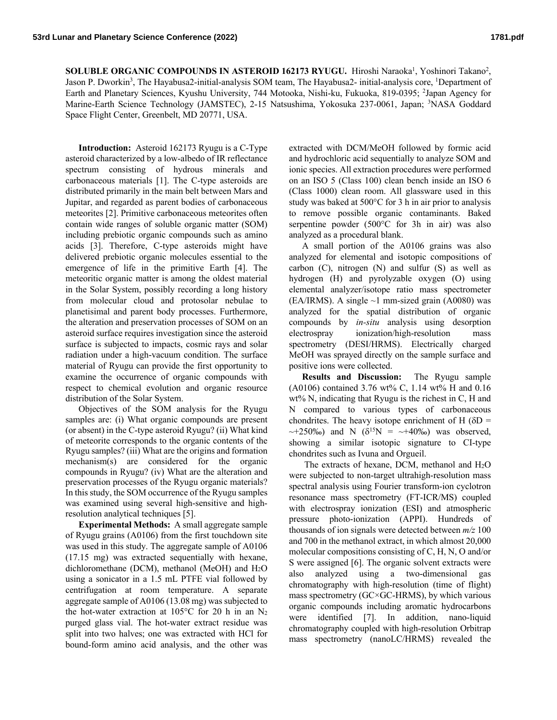SOLUBLE ORGANIC COMPOUNDS IN ASTEROID 162173 RYUGU. Hiroshi Naraoka<sup>1</sup>, Yoshinori Takano<sup>2</sup>, Jason P. Dworkin<sup>3</sup>, The Hayabusa2-initial-analysis SOM team, The Hayabusa2- initial-analysis core, <sup>1</sup>Department of Earth and Planetary Sciences, Kyushu University, 744 Motooka, Nishi-ku, Fukuoka, 819-0395; <sup>2</sup>Japan Agency for Marine-Earth Science Technology (JAMSTEC), 2-15 Natsushima, Yokosuka 237-0061, Japan; <sup>3</sup>NASA Goddard Space Flight Center, Greenbelt, MD 20771, USA.

**Introduction:** Asteroid 162173 Ryugu is a C-Type asteroid characterized by a low-albedo of IR reflectance spectrum consisting of hydrous minerals and carbonaceous materials [1]. The C-type asteroids are distributed primarily in the main belt between Mars and Jupitar, and regarded as parent bodies of carbonaceous meteorites [2]. Primitive carbonaceous meteorites often contain wide ranges of soluble organic matter (SOM) including prebiotic organic compounds such as amino acids [3]. Therefore, C-type asteroids might have delivered prebiotic organic molecules essential to the emergence of life in the primitive Earth [4]. The meteoritic organic matter is among the oldest material in the Solar System, possibly recording a long history from molecular cloud and protosolar nebulae to planetisimal and parent body processes. Furthermore, the alteration and preservation processes of SOM on an asteroid surface requires investigation since the asteroid surface is subjected to impacts, cosmic rays and solar radiation under a high-vacuum condition. The surface material of Ryugu can provide the first opportunity to examine the occurrence of organic compounds with respect to chemical evolution and organic resource distribution of the Solar System.

Objectives of the SOM analysis for the Ryugu samples are: (i) What organic compounds are present (or absent) in the C-type asteroid Ryugu? (ii) What kind of meteorite corresponds to the organic contents of the Ryugu samples? (iii) What are the origins and formation mechanism(s) are considered for the organic compounds in Ryugu? (iv) What are the alteration and preservation processes of the Ryugu organic materials? In this study, the SOM occurrence of the Ryugu samples was examined using several high-sensitive and highresolution analytical techniques [5].

**Experimental Methods:** A small aggregate sample of Ryugu grains (A0106) from the first touchdown site was used in this study. The aggregate sample of A0106 (17.15 mg) was extracted sequentially with hexane, dichloromethane (DCM), methanol (MeOH) and H2O using a sonicator in a 1.5 mL PTFE vial followed by centrifugation at room temperature. A separate aggregate sample of A0106 (13.08 mg) was subjected to the hot-water extraction at  $105^{\circ}$ C for 20 h in an N<sub>2</sub> purged glass vial. The hot-water extract residue was split into two halves; one was extracted with HCl for bound-form amino acid analysis, and the other was

extracted with DCM/MeOH followed by formic acid and hydrochloric acid sequentially to analyze SOM and ionic species. All extraction procedures were performed on an ISO 5 (Class 100) clean bench inside an ISO 6 (Class 1000) clean room. All glassware used in this study was baked at 500°C for 3 h in air prior to analysis to remove possible organic contaminants. Baked serpentine powder (500°C for 3h in air) was also analyzed as a procedural blank.

A small portion of the A0106 grains was also analyzed for elemental and isotopic compositions of carbon (C), nitrogen (N) and sulfur (S) as well as hydrogen (H) and pyrolyzable oxygen (O) using elemental analyzer/isotope ratio mass spectrometer (EA/IRMS). A single  $\sim$ 1 mm-sized grain (A0080) was analyzed for the spatial distribution of organic compounds by *in-situ* analysis using desorption electrospray ionization/high-resolution mass spectrometry (DESI/HRMS). Electrically charged MeOH was sprayed directly on the sample surface and positive ions were collected.

**Results and Discussion:** The Ryugu sample (A0106) contained 3.76 wt% C, 1.14 wt% H and 0.16 wt% N, indicating that Ryugu is the richest in C, H and N compared to various types of carbonaceous chondrites. The heavy isotope enrichment of H ( $\delta D$  =  $\sim$ +250‰) and N ( $\delta^{15}N = \sim$ +40‰) was observed, showing a similar isotopic signature to CI-type chondrites such as Ivuna and Orgueil.

The extracts of hexane, DCM, methanol and H2O were subjected to non-target ultrahigh-resolution mass spectral analysis using Fourier transform-ion cyclotron resonance mass spectrometry (FT-ICR/MS) coupled with electrospray ionization (ESI) and atmospheric pressure photo-ionization (APPI). Hundreds of thousands of ion signals were detected between *m/z* 100 and 700 in the methanol extract, in which almost 20,000 molecular compositions consisting of C, H, N, O and/or S were assigned [6]. The organic solvent extracts were also analyzed using a two-dimensional gas chromatography with high-resolution (time of flight) mass spectrometry (GC×GC-HRMS), by which various organic compounds including aromatic hydrocarbons were identified [7]. In addition, nano-liquid chromatography coupled with high-resolution Orbitrap mass spectrometry (nanoLC/HRMS) revealed the